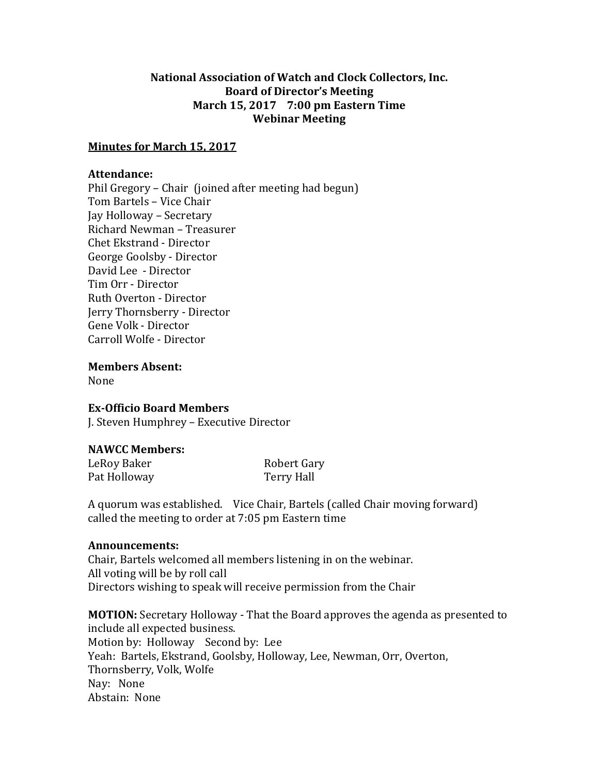### **National Association of Watch and Clock Collectors, Inc. Board of Director's Meeting March 15, 2017 7:00 pm Eastern Time Webinar Meeting**

### **Minutes for March 15, 2017**

#### **Attendance:**

Phil Gregory – Chair (joined after meeting had begun) Tom Bartels – Vice Chair Jay Holloway – Secretary Richard Newman – Treasurer Chet Ekstrand - Director George Goolsby - Director David Lee - Director Tim Orr - Director Ruth Overton - Director Jerry Thornsberry - Director Gene Volk - Director Carroll Wolfe - Director

**Members Absent:**

None

# **Ex-Officio Board Members**

J. Steven Humphrey – Executive Director

# **NAWCC Members:**

LeRoy Baker Robert Gary Pat Holloway Terry Hall

A quorum was established. Vice Chair, Bartels (called Chair moving forward) called the meeting to order at 7:05 pm Eastern time

#### **Announcements:**

Chair, Bartels welcomed all members listening in on the webinar. All voting will be by roll call Directors wishing to speak will receive permission from the Chair

**MOTION:** Secretary Holloway - That the Board approves the agenda as presented to include all expected business. Motion by: Holloway Second by: Lee Yeah: Bartels, Ekstrand, Goolsby, Holloway, Lee, Newman, Orr, Overton, Thornsberry, Volk, Wolfe Nay: None Abstain: None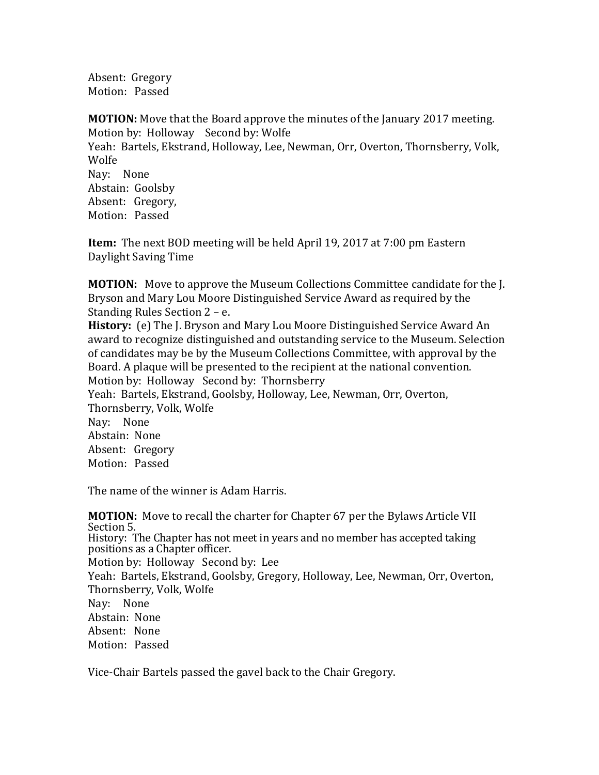Absent: Gregory Motion: Passed

**MOTION:** Move that the Board approve the minutes of the January 2017 meeting. Motion by: Holloway Second by: Wolfe Yeah: Bartels, Ekstrand, Holloway, Lee, Newman, Orr, Overton, Thornsberry, Volk, Wolfe Nay: None Abstain: Goolsby Absent: Gregory, Motion: Passed

**Item:** The next BOD meeting will be held April 19, 2017 at 7:00 pm Eastern Daylight Saving Time

**MOTION:** Move to approve the Museum Collections Committee candidate for the J. Bryson and Mary Lou Moore Distinguished Service Award as required by the Standing Rules Section 2 – e.

**History:** (e) The J. Bryson and Mary Lou Moore Distinguished Service Award An award to recognize distinguished and outstanding service to the Museum. Selection of candidates may be by the Museum Collections Committee, with approval by the Board. A plaque will be presented to the recipient at the national convention. Motion by: Holloway Second by: Thornsberry Yeah: Bartels, Ekstrand, Goolsby, Holloway, Lee, Newman, Orr, Overton,

Thornsberry, Volk, Wolfe Nay: None Abstain: None Absent: Gregory Motion: Passed

The name of the winner is Adam Harris.

**MOTION:** Move to recall the charter for Chapter 67 per the Bylaws Article VII Section 5. History: The Chapter has not meet in years and no member has accepted taking positions as a Chapter officer. Motion by: Holloway Second by: Lee Yeah: Bartels, Ekstrand, Goolsby, Gregory, Holloway, Lee, Newman, Orr, Overton, Thornsberry, Volk, Wolfe Nay: None Abstain: None Absent: None Motion: Passed

Vice-Chair Bartels passed the gavel back to the Chair Gregory.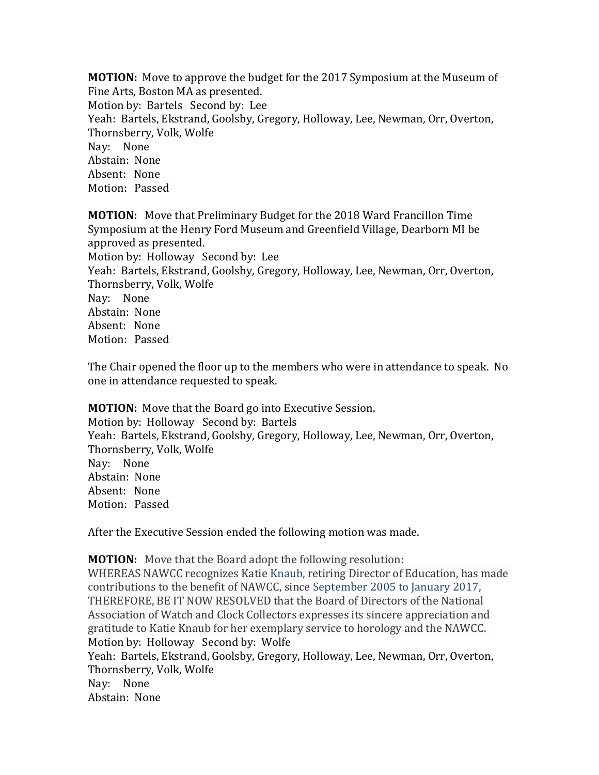**MOTION:** Move to approve the budget for the 2017 Symposium at the Museum of Fine Arts, Boston MA as presented. Motion by: Bartels Second by: Lee Yeah: Bartels, Ekstrand, Goolsby, Gregory, Holloway, Lee, Newman, Orr, Overton, Thornsberry, Volk, Wolfe Nay: None Abstain: None Absent: None Motion: Passed

**MOTION:** Move that Preliminary Budget for the 2018 Ward Francillon Time Symposium at the Henry Ford Museum and Greenfield Village, Dearborn MI be approved as presented. Motion by: Holloway Second by: Lee Yeah: Bartels, Ekstrand, Goolsby, Gregory, Holloway, Lee, Newman, Orr, Overton, Thornsberry, Volk, Wolfe Nay: None Abstain: None Absent: None Motion: Passed

The Chair opened the floor up to the members who were in attendance to speak. No one in attendance requested to speak.

**MOTION:** Move that the Board go into Executive Session. Motion by: Holloway Second by: Bartels Yeah: Bartels, Ekstrand, Goolsby, Gregory, Holloway, Lee, Newman, Orr, Overton, Thornsberry, Volk, Wolfe Nay: None Abstain: None Absent: None Motion: Passed

After the Executive Session ended the following motion was made.

**MOTION:** Move that the Board adopt the following resolution: WHEREAS NAWCC recognizes Katie Knaub, retiring Director of Education, has made contributions to the benefit of NAWCC, since September 2005 to January 2017, THEREFORE, BE IT NOW RESOLVED that the Board of Directors of the National Association of Watch and Clock Collectors expresses its sincere appreciation and gratitude to Katie Knaub for her exemplary service to horology and the NAWCC. Motion by: Holloway Second by: Wolfe Yeah: Bartels, Ekstrand, Goolsby, Gregory, Holloway, Lee, Newman, Orr, Overton, Thornsberry, Volk, Wolfe Nay: None Abstain: None